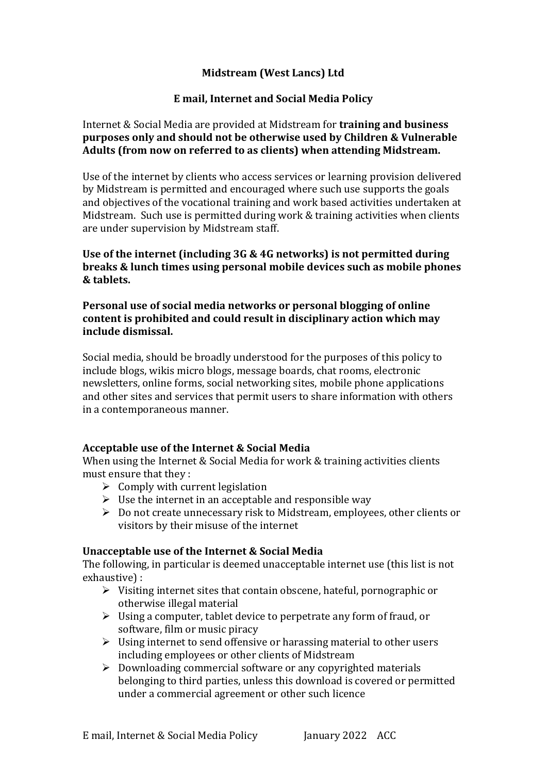# **Midstream (West Lancs) Ltd**

# **E** mail, Internet and Social Media Policy

### Internet & Social Media are provided at Midstream for **training and business purposes only and should not be otherwise used by Children & Vulnerable** Adults (from now on referred to as clients) when attending Midstream.

Use of the internet by clients who access services or learning provision delivered by Midstream is permitted and encouraged where such use supports the goals and objectives of the vocational training and work based activities undertaken at Midstream. Such use is permitted during work & training activities when clients are under supervision by Midstream staff.

Use of the internet (including 3G & 4G networks) is not permitted during **breaks & lunch times using personal mobile devices such as mobile phones & tablets.** 

### **Personal use of social media networks or personal blogging of online** content is prohibited and could result in disciplinary action which may **include dismissal.**

Social media, should be broadly understood for the purposes of this policy to include blogs, wikis micro blogs, message boards, chat rooms, electronic newsletters, online forms, social networking sites, mobile phone applications and other sites and services that permit users to share information with others in a contemporaneous manner.

### Acceptable use of the Internet & Social Media

When using the Internet & Social Media for work  $&$  training activities clients must ensure that they :

- $\triangleright$  Comply with current legislation
- $\triangleright$  Use the internet in an acceptable and responsible way
- $\triangleright$  Do not create unnecessary risk to Midstream, employees, other clients or visitors by their misuse of the internet

# **Unacceptable use of the Internet & Social Media**

The following, in particular is deemed unacceptable internet use (this list is not exhaustive) :

- $\triangleright$  Visiting internet sites that contain obscene, hateful, pornographic or otherwise illegal material
- $\triangleright$  Using a computer, tablet device to perpetrate any form of fraud, or software, film or music piracy
- $\triangleright$  Using internet to send offensive or harassing material to other users including employees or other clients of Midstream
- $\triangleright$  Downloading commercial software or any copyrighted materials belonging to third parties, unless this download is covered or permitted under a commercial agreement or other such licence